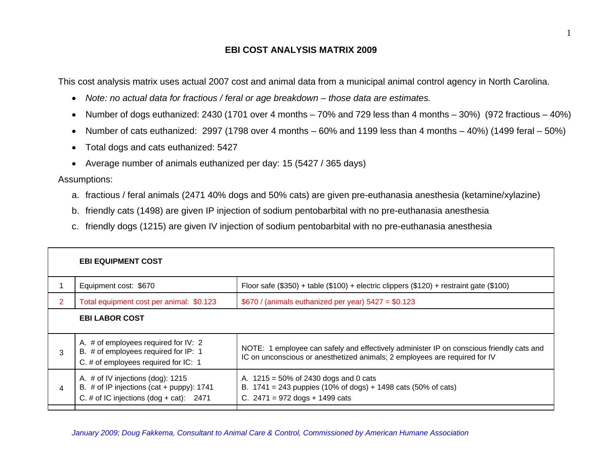## **EBI COST ANALYSIS MATRIX 2009**

This cost analysis matrix uses actual 2007 cost and animal data from a municipal animal control agency in North Carolina.

- *Note: no actual data for fractious / feral or age breakdown those data are estimates.*
- Number of dogs euthanized: 2430 (1701 over 4 months 70% and 729 less than 4 months 30%) (972 fractious 40%)
- Number of cats euthanized: 2997 (1798 over 4 months 60% and 1199 less than 4 months 40%) (1499 feral 50%)
- Total dogs and cats euthanized: 5427
- Average number of animals euthanized per day: 15 (5427 / 365 days)

Assumptions:

- a. fractious / feral animals (2471 40% dogs and 50% cats) are given pre-euthanasia anesthesia (ketamine/xylazine)
- b. friendly cats (1498) are given IP injection of sodium pentobarbital with no pre-euthanasia anesthesia
- c. friendly dogs (1215) are given IV injection of sodium pentobarbital with no pre-euthanasia anesthesia

|                | <b>EBI EQUIPMENT COST</b>                                                                                                      |                                                                                                                                                                        |
|----------------|--------------------------------------------------------------------------------------------------------------------------------|------------------------------------------------------------------------------------------------------------------------------------------------------------------------|
|                | Equipment cost: \$670                                                                                                          | Floor safe (\$350) + table (\$100) + electric clippers (\$120) + restraint gate (\$100)                                                                                |
| $\overline{2}$ | Total equipment cost per animal: \$0.123<br>$$670$ / (animals euthanized per year) $5427 = $0.123$                             |                                                                                                                                                                        |
|                | <b>EBI LABOR COST</b>                                                                                                          |                                                                                                                                                                        |
| 3              | A. $#$ of employees required for IV: 2<br>B. # of employees required for IP: 1<br>C. # of employees required for IC: 1         | NOTE: 1 employee can safely and effectively administer IP on conscious friendly cats and<br>IC on unconscious or anesthetized animals; 2 employees are required for IV |
| 4              | A. # of IV injections (dog): 1215<br>B. # of IP injections (cat + puppy): $1741$<br>C. # of IC injections $(dog + cat)$ : 2471 | A. $1215 = 50\%$ of 2430 dogs and 0 cats<br>B. 1741 = 243 puppies (10% of dogs) + 1498 cats (50% of cats)<br>C. $2471 = 972$ dogs + 1499 cats                          |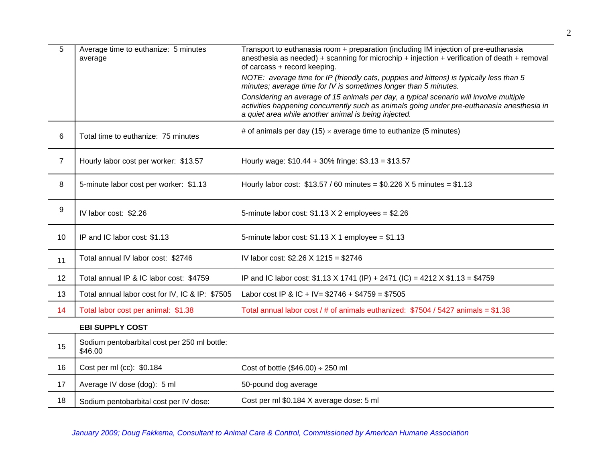| 5  | Average time to euthanize: 5 minutes<br>average         | Transport to euthanasia room + preparation (including IM injection of pre-euthanasia<br>anesthesia as needed) + scanning for microchip + injection + verification of death + removal<br>of carcass + record keeping.                         |
|----|---------------------------------------------------------|----------------------------------------------------------------------------------------------------------------------------------------------------------------------------------------------------------------------------------------------|
|    |                                                         | NOTE: average time for IP (friendly cats, puppies and kittens) is typically less than 5<br>minutes; average time for IV is sometimes longer than 5 minutes.                                                                                  |
|    |                                                         | Considering an average of 15 animals per day, a typical scenario will involve multiple<br>activities happening concurrently such as animals going under pre-euthanasia anesthesia in<br>a quiet area while another animal is being injected. |
| 6  | Total time to euthanize: 75 minutes                     | # of animals per day (15) $\times$ average time to euthanize (5 minutes)                                                                                                                                                                     |
| 7  | Hourly labor cost per worker: \$13.57                   | Hourly wage: \$10.44 + 30% fringe: \$3.13 = \$13.57                                                                                                                                                                                          |
| 8  | 5-minute labor cost per worker: \$1.13                  | Hourly labor cost: $$13.57 / 60$ minutes = \$0.226 X 5 minutes = \$1.13                                                                                                                                                                      |
| 9  | IV labor cost: \$2.26                                   | 5-minute labor cost: $$1.13 \times 2$ employees = \$2.26                                                                                                                                                                                     |
| 10 | IP and IC labor cost: \$1.13                            | 5-minute labor cost: $$1.13$ X 1 employee = $$1.13$                                                                                                                                                                                          |
| 11 | Total annual IV labor cost: \$2746                      | IV labor cost: \$2.26 X 1215 = \$2746                                                                                                                                                                                                        |
| 12 | Total annual IP & IC labor cost: \$4759                 | IP and IC labor cost: \$1.13 X 1741 (IP) + 2471 (IC) = 4212 X \$1.13 = \$4759                                                                                                                                                                |
| 13 | Total annual labor cost for IV, IC & IP: \$7505         | Labor cost IP & IC + IV = $$2746 + $4759 = $7505$                                                                                                                                                                                            |
| 14 | Total labor cost per animal: \$1.38                     | Total annual labor cost / # of animals euthanized: $$7504 / 5427$ animals = \$1.38                                                                                                                                                           |
|    | <b>EBI SUPPLY COST</b>                                  |                                                                                                                                                                                                                                              |
| 15 | Sodium pentobarbital cost per 250 ml bottle:<br>\$46.00 |                                                                                                                                                                                                                                              |
| 16 | Cost per ml (cc): \$0.184                               | Cost of bottle $(\$46.00) \div 250$ ml                                                                                                                                                                                                       |
| 17 | Average IV dose (dog): 5 ml                             | 50-pound dog average                                                                                                                                                                                                                         |
| 18 | Sodium pentobarbital cost per IV dose:                  | Cost per ml \$0.184 X average dose: 5 ml                                                                                                                                                                                                     |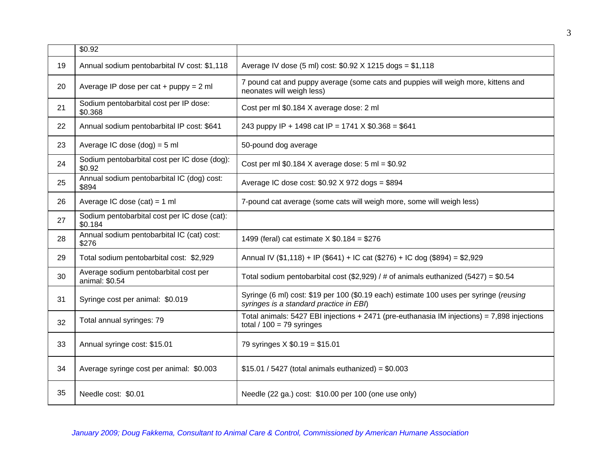|    | \$0.92                                                  |                                                                                                                                   |
|----|---------------------------------------------------------|-----------------------------------------------------------------------------------------------------------------------------------|
| 19 | Annual sodium pentobarbital IV cost: \$1,118            | Average IV dose (5 ml) cost: \$0.92 X 1215 dogs = \$1,118                                                                         |
| 20 | Average IP dose per cat + $puppy = 2$ ml                | 7 pound cat and puppy average (some cats and puppies will weigh more, kittens and<br>neonates will weigh less)                    |
| 21 | Sodium pentobarbital cost per IP dose:<br>\$0.368       | Cost per ml \$0.184 X average dose: 2 ml                                                                                          |
| 22 | Annual sodium pentobarbital IP cost: \$641              | 243 puppy IP + 1498 cat IP = 1741 $X$ \$0.368 = \$641                                                                             |
| 23 | Average IC dose $(dog) = 5$ ml                          | 50-pound dog average                                                                                                              |
| 24 | Sodium pentobarbital cost per IC dose (dog):<br>\$0.92  | Cost per ml $$0.184$ X average dose: 5 ml = $$0.92$                                                                               |
| 25 | Annual sodium pentobarbital IC (dog) cost:<br>\$894     | Average IC dose cost: \$0.92 X 972 dogs = \$894                                                                                   |
| 26 | Average IC dose $(cat) = 1 ml$                          | 7-pound cat average (some cats will weigh more, some will weigh less)                                                             |
| 27 | Sodium pentobarbital cost per IC dose (cat):<br>\$0.184 |                                                                                                                                   |
| 28 | Annual sodium pentobarbital IC (cat) cost:<br>\$276     | 1499 (feral) cat estimate $X $0.184 = $276$                                                                                       |
| 29 | Total sodium pentobarbital cost: \$2,929                | Annual IV (\$1,118) + IP (\$641) + IC cat (\$276) + IC dog (\$894) = \$2,929                                                      |
| 30 | Average sodium pentobarbital cost per<br>animal: \$0.54 | Total sodium pentobarbital cost (\$2,929) / # of animals euthanized (5427) = $$0.54$                                              |
| 31 | Syringe cost per animal: \$0.019                        | Syringe (6 ml) cost: \$19 per 100 (\$0.19 each) estimate 100 uses per syringe (reusing<br>syringes is a standard practice in EBI) |
| 32 | Total annual syringes: 79                               | Total animals: $5427$ EBI injections + 2471 (pre-euthanasia IM injections) = 7,898 injections<br>total $/ 100 = 79$ syringes      |
| 33 | Annual syringe cost: \$15.01                            | 79 syringes X \$0.19 = \$15.01                                                                                                    |
| 34 | Average syringe cost per animal: \$0.003                | $$15.01 / 5427$ (total animals euthanized) = $$0.003$                                                                             |
| 35 | Needle cost: \$0.01                                     | Needle (22 ga.) cost: \$10.00 per 100 (one use only)                                                                              |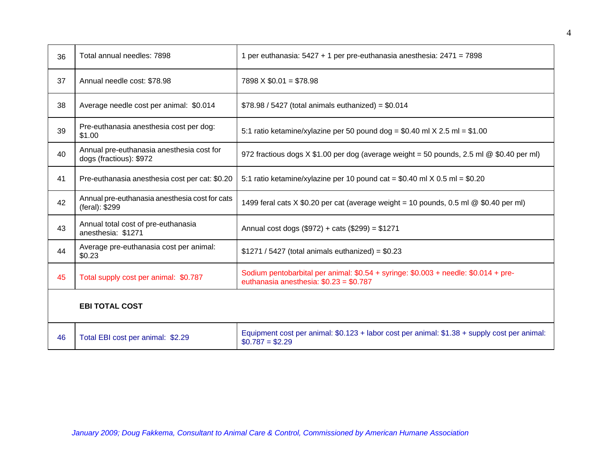| 36 | Total annual needles: 7898                                           | 1 per euthanasia: 5427 + 1 per pre-euthanasia anesthesia: 2471 = 7898                                                          |  |
|----|----------------------------------------------------------------------|--------------------------------------------------------------------------------------------------------------------------------|--|
| 37 | Annual needle cost: \$78.98                                          | $7898 \times $0.01 = $78.98$                                                                                                   |  |
| 38 | Average needle cost per animal: \$0.014                              | $$78.98 / 5427$ (total animals euthanized) = $$0.014$                                                                          |  |
| 39 | Pre-euthanasia anesthesia cost per dog:<br>\$1.00                    | 5:1 ratio ketamine/xylazine per 50 pound dog = $$0.40$ ml $\times$ 2.5 ml = $$1.00$                                            |  |
| 40 | Annual pre-euthanasia anesthesia cost for<br>dogs (fractious): \$972 | 972 fractious dogs $X $1.00$ per dog (average weight = 50 pounds, 2.5 ml $@ $0.40$ per ml)                                     |  |
| 41 | Pre-euthanasia anesthesia cost per cat: \$0.20                       | 5:1 ratio ketamine/xylazine per 10 pound cat = $$0.40$ ml $\times$ 0.5 ml = $$0.20$                                            |  |
| 42 | Annual pre-euthanasia anesthesia cost for cats<br>(feral): \$299     | 1499 feral cats X \$0.20 per cat (average weight = 10 pounds, 0.5 ml @ \$0.40 per ml)                                          |  |
| 43 | Annual total cost of pre-euthanasia<br>anesthesia: \$1271            | Annual cost dogs (\$972) + cats (\$299) = \$1271                                                                               |  |
| 44 | Average pre-euthanasia cost per animal:<br>\$0.23                    | $$1271 / 5427$ (total animals euthanized) = $$0.23$                                                                            |  |
| 45 | Total supply cost per animal: \$0.787                                | Sodium pentobarbital per animal: \$0.54 + syringe: \$0.003 + needle: \$0.014 + pre-<br>euthanasia anesthesia: $$0.23 = $0.787$ |  |
|    | <b>EBI TOTAL COST</b>                                                |                                                                                                                                |  |
| 46 | Total EBI cost per animal: \$2.29                                    | Equipment cost per animal: $$0.123 +$ labor cost per animal: $$1.38 +$ supply cost per animal:<br>$$0.787 = $2.29$             |  |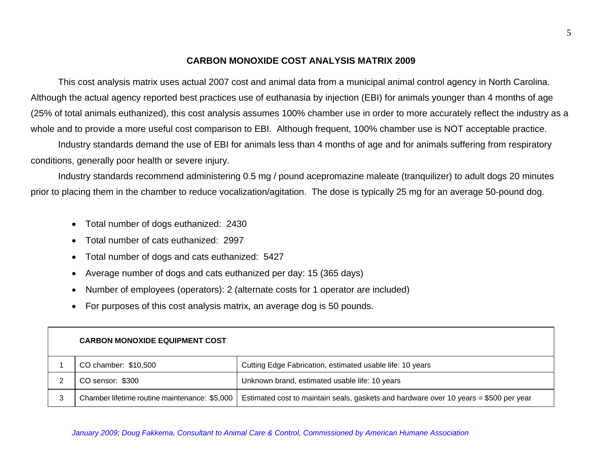## **CARBON MONOXIDE COST ANALYSIS MATRIX 2009**

This cost analysis matrix uses actual 2007 cost and animal data from a municipal animal control agency in North Carolina. Although the actual agency reported best practices use of euthanasia by injection (EBI) for animals younger than 4 months of age (25% of total animals euthanized), this cost analysis assumes 100% chamber use in order to more accurately reflect the industry as a whole and to provide a more useful cost comparison to EBI. Although frequent, 100% chamber use is NOT acceptable practice.

Industry standards demand the use of EBI for animals less than 4 months of age and for animals suffering from respiratory conditions, generally poor health or severe injury.

Industry standards recommend administering 0.5 mg / pound acepromazine maleate (tranquilizer) to adult dogs 20 minutes prior to placing them in the chamber to reduce vocalization/agitation. The dose is typically 25 mg for an average 50-pound dog.

- Total number of dogs euthanized: 2430
- Total number of cats euthanized: 2997
- Total number of dogs and cats euthanized: 5427
- Average number of dogs and cats euthanized per day: 15 (365 days)
- Number of employees (operators): 2 (alternate costs for 1 operator are included)
- For purposes of this cost analysis matrix, an average dog is 50 pounds.

| <b>CARBON MONOXIDE EQUIPMENT COST</b>         |                                                                                       |
|-----------------------------------------------|---------------------------------------------------------------------------------------|
| CO chamber: \$10,500                          | Cutting Edge Fabrication, estimated usable life: 10 years                             |
| CO sensor: \$300                              | Unknown brand, estimated usable life: 10 years                                        |
| Chamber lifetime routine maintenance: \$5,000 | Estimated cost to maintain seals, gaskets and hardware over 10 years = \$500 per year |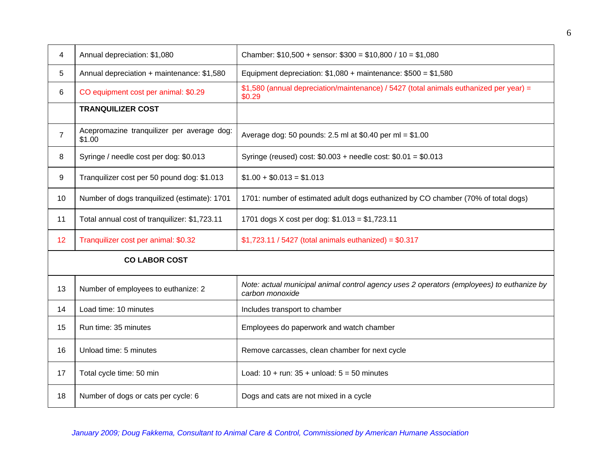| 4                    | Annual depreciation: \$1,080                         | Chamber: $$10,500 +$ sensor: $$300 = $10,800 / 10 = $1,080$                                                  |  |
|----------------------|------------------------------------------------------|--------------------------------------------------------------------------------------------------------------|--|
| 5                    | Annual depreciation + maintenance: \$1,580           | Equipment depreciation: $$1,080 +$ maintenance: $$500 = $1,580$                                              |  |
| 6                    | CO equipment cost per animal: \$0.29                 | \$1,580 (annual depreciation/maintenance) / 5427 (total animals euthanized per year) =<br>\$0.29             |  |
|                      | <b>TRANQUILIZER COST</b>                             |                                                                                                              |  |
| $\overline{7}$       | Acepromazine tranquilizer per average dog:<br>\$1.00 | Average dog: 50 pounds: 2.5 ml at \$0.40 per ml = $$1.00$                                                    |  |
| 8                    | Syringe / needle cost per dog: \$0.013               | Syringe (reused) cost: $$0.003 +$ needle cost: $$0.01 = $0.013$                                              |  |
| 9                    | Tranquilizer cost per 50 pound dog: \$1.013          | $$1.00 + $0.013 = $1.013$                                                                                    |  |
| 10                   | Number of dogs tranquilized (estimate): 1701         | 1701: number of estimated adult dogs euthanized by CO chamber (70% of total dogs)                            |  |
| 11                   | Total annual cost of tranquilizer: \$1,723.11        | 1701 dogs X cost per dog: \$1.013 = \$1,723.11                                                               |  |
| 12                   | Tranquilizer cost per animal: \$0.32                 | $$1,723.11 / 5427$ (total animals euthanized) = $$0.317$                                                     |  |
| <b>CO LABOR COST</b> |                                                      |                                                                                                              |  |
| 13                   | Number of employees to euthanize: 2                  | Note: actual municipal animal control agency uses 2 operators (employees) to euthanize by<br>carbon monoxide |  |
| 14                   | Load time: 10 minutes                                | Includes transport to chamber                                                                                |  |
| 15                   | Run time: 35 minutes                                 | Employees do paperwork and watch chamber                                                                     |  |
| 16                   | Unload time: 5 minutes                               | Remove carcasses, clean chamber for next cycle                                                               |  |
| 17                   | Total cycle time: 50 min                             | Load: $10 + run: 35 + unload: 5 = 50 minutes$                                                                |  |
| 18                   | Number of dogs or cats per cycle: 6                  | Dogs and cats are not mixed in a cycle                                                                       |  |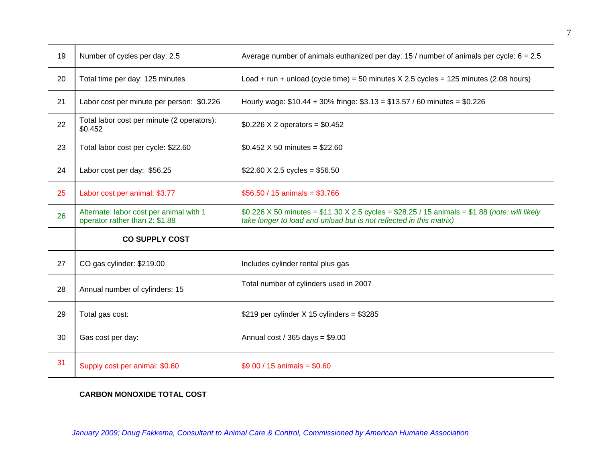| 19 | Number of cycles per day: 2.5                                             | Average number of animals euthanized per day: 15 / number of animals per cycle: $6 = 2.5$                                                                                     |
|----|---------------------------------------------------------------------------|-------------------------------------------------------------------------------------------------------------------------------------------------------------------------------|
| 20 | Total time per day: 125 minutes                                           | Load + run + unload (cycle time) = 50 minutes $X$ 2.5 cycles = 125 minutes (2.08 hours)                                                                                       |
| 21 | Labor cost per minute per person: \$0.226                                 | Hourly wage: $$10.44 + 30\%$ fringe: $$3.13 = $13.57 / 60$ minutes = \$0.226                                                                                                  |
| 22 | Total labor cost per minute (2 operators):<br>\$0.452                     | $$0.226 \times 2$ operators = \$0.452                                                                                                                                         |
| 23 | Total labor cost per cycle: \$22.60                                       | \$0.452 $\times$ 50 minutes = \$22.60                                                                                                                                         |
| 24 | Labor cost per day: \$56.25                                               | \$22.60 X 2.5 cycles = \$56.50                                                                                                                                                |
| 25 | Labor cost per animal: \$3.77                                             | $$56.50 / 15$ animals = \$3.766                                                                                                                                               |
| 26 | Alternate: labor cost per animal with 1<br>operator rather than 2: \$1.88 | \$0.226 X 50 minutes = $$11.30 \times 2.5$ cycles = $$28.25 / 15$ animals = $$1.88$ (note: will likely<br>take longer to load and unload but is not reflected in this matrix) |
|    | <b>CO SUPPLY COST</b>                                                     |                                                                                                                                                                               |
| 27 | CO gas cylinder: \$219.00                                                 | Includes cylinder rental plus gas                                                                                                                                             |
| 28 | Annual number of cylinders: 15                                            | Total number of cylinders used in 2007                                                                                                                                        |
| 29 |                                                                           |                                                                                                                                                                               |
|    | Total gas cost:                                                           | \$219 per cylinder $X$ 15 cylinders = \$3285                                                                                                                                  |
| 30 | Gas cost per day:                                                         | Annual cost / 365 days = $$9.00$                                                                                                                                              |
| 31 | Supply cost per animal: \$0.60                                            | $$9.00 / 15$ animals = \$0.60                                                                                                                                                 |